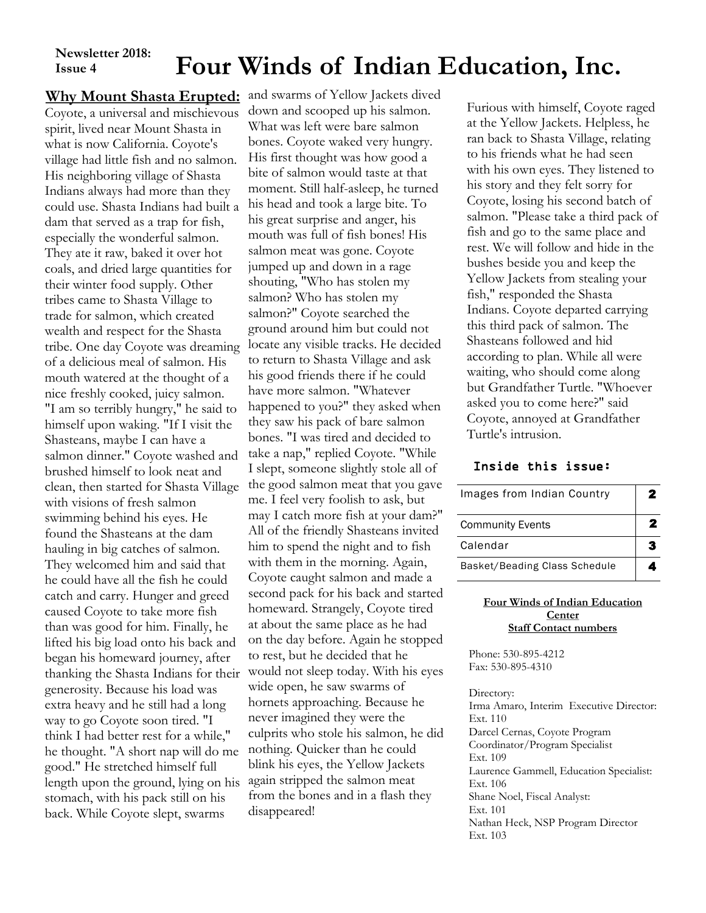#### **Newsletter 2018: Issue 4 Four Winds of Indian Education, Inc.**

Coyote, a universal and mischievous spirit, lived near Mount Shasta in what is now California. Coyote's village had little fish and no salmon. His neighboring village of Shasta Indians always had more than they could use. Shasta Indians had built a dam that served as a trap for fish, especially the wonderful salmon. They ate it raw, baked it over hot coals, and dried large quantities for their winter food supply. Other tribes came to Shasta Village to trade for salmon, which created wealth and respect for the Shasta tribe. One day Coyote was dreaming of a delicious meal of salmon. His mouth watered at the thought of a nice freshly cooked, juicy salmon. "I am so terribly hungry," he said to himself upon waking. "If I visit the Shasteans, maybe I can have a salmon dinner." Coyote washed and brushed himself to look neat and clean, then started for Shasta Village with visions of fresh salmon swimming behind his eyes. He found the Shasteans at the dam hauling in big catches of salmon. They welcomed him and said that he could have all the fish he could catch and carry. Hunger and greed caused Coyote to take more fish than was good for him. Finally, he lifted his big load onto his back and began his homeward journey, after thanking the Shasta Indians for their generosity. Because his load was extra heavy and he still had a long way to go Coyote soon tired. "I think I had better rest for a while," he thought. "A short nap will do me good." He stretched himself full length upon the ground, lying on his stomach, with his pack still on his back. While Coyote slept, swarms

**Why Mount Shasta Erupted:** and swarms of Yellow Jackets dived down and scooped up his salmon. What was left were bare salmon bones. Coyote waked very hungry. His first thought was how good a bite of salmon would taste at that moment. Still half-asleep, he turned his head and took a large bite. To his great surprise and anger, his mouth was full of fish bones! His salmon meat was gone. Coyote jumped up and down in a rage shouting, "Who has stolen my salmon? Who has stolen my salmon?" Coyote searched the ground around him but could not locate any visible tracks. He decided to return to Shasta Village and ask his good friends there if he could have more salmon. "Whatever happened to you?" they asked when they saw his pack of bare salmon bones. "I was tired and decided to take a nap," replied Coyote. "While I slept, someone slightly stole all of the good salmon meat that you gave me. I feel very foolish to ask, but may I catch more fish at your dam?" All of the friendly Shasteans invited him to spend the night and to fish with them in the morning. Again, Coyote caught salmon and made a second pack for his back and started homeward. Strangely, Coyote tired at about the same place as he had on the day before. Again he stopped to rest, but he decided that he would not sleep today. With his eyes wide open, he saw swarms of hornets approaching. Because he never imagined they were the culprits who stole his salmon, he did nothing. Quicker than he could blink his eyes, the Yellow Jackets again stripped the salmon meat from the bones and in a flash they disappeared!

Furious with himself, Coyote raged at the Yellow Jackets. Helpless, he ran back to Shasta Village, relating to his friends what he had seen with his own eyes. They listened to his story and they felt sorry for Coyote, losing his second batch of salmon. "Please take a third pack of fish and go to the same place and rest. We will follow and hide in the bushes beside you and keep the Yellow Jackets from stealing your fish," responded the Shasta Indians. Coyote departed carrying this third pack of salmon. The Shasteans followed and hid according to plan. While all were waiting, who should come along but Grandfather Turtle. "Whoever asked you to come here?" said Coyote, annoyed at Grandfather Turtle's intrusion.

#### Inside this issue:

| Images from Indian Country    |  |
|-------------------------------|--|
| <b>Community Events</b>       |  |
| Calendar                      |  |
| Basket/Beading Class Schedule |  |

#### **Four Winds of Indian Education Center Staff Contact numbers**

Phone: 530-895-4212 Fax: 530-895-4310

Directory: Irma Amaro, Interim Executive Director: Ext. 110 Darcel Cernas, Coyote Program Coordinator/Program Specialist Ext. 109 Laurence Gammell, Education Specialist: Ext. 106 Shane Noel, Fiscal Analyst: Ext. 101 Nathan Heck, NSP Program Director Ext. 103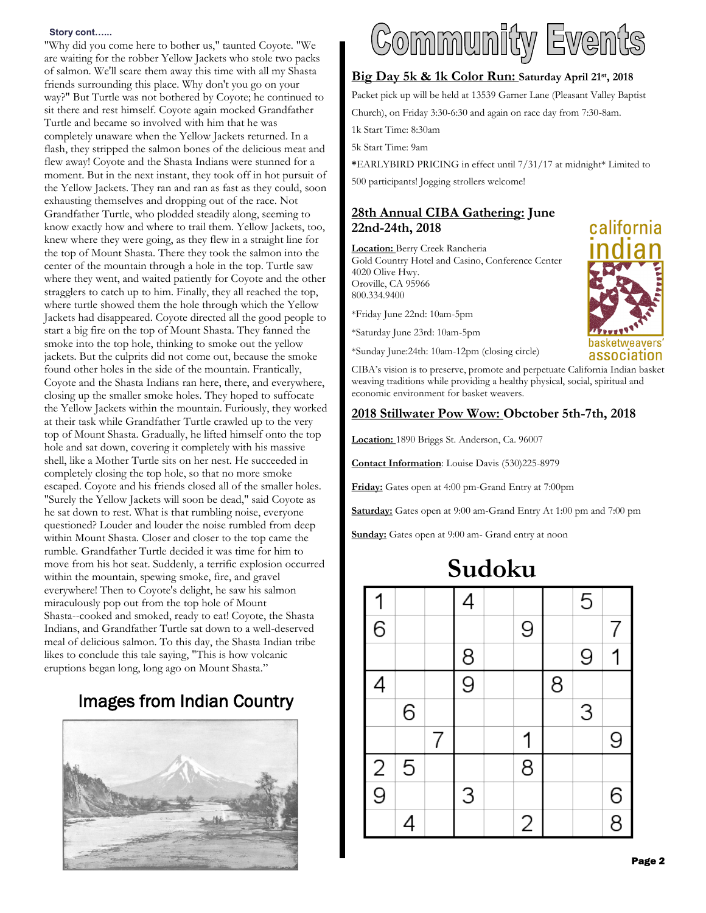#### **Story cont…...**

"Why did you come here to bother us," taunted Coyote. "We are waiting for the robber Yellow Jackets who stole two packs of salmon. We'll scare them away this time with all my Shasta friends surrounding this place. Why don't you go on your way?" But Turtle was not bothered by Coyote; he continued to sit there and rest himself. Coyote again mocked Grandfather Turtle and became so involved with him that he was completely unaware when the Yellow Jackets returned. In a flash, they stripped the salmon bones of the delicious meat and flew away! Coyote and the Shasta Indians were stunned for a moment. But in the next instant, they took off in hot pursuit of the Yellow Jackets. They ran and ran as fast as they could, soon exhausting themselves and dropping out of the race. Not Grandfather Turtle, who plodded steadily along, seeming to know exactly how and where to trail them. Yellow Jackets, too, knew where they were going, as they flew in a straight line for the top of Mount Shasta. There they took the salmon into the center of the mountain through a hole in the top. Turtle saw where they went, and waited patiently for Coyote and the other stragglers to catch up to him. Finally, they all reached the top, where turtle showed them the hole through which the Yellow Jackets had disappeared. Coyote directed all the good people to start a big fire on the top of Mount Shasta. They fanned the smoke into the top hole, thinking to smoke out the yellow jackets. But the culprits did not come out, because the smoke found other holes in the side of the mountain. Frantically, Coyote and the Shasta Indians ran here, there, and everywhere, closing up the smaller smoke holes. They hoped to suffocate the Yellow Jackets within the mountain. Furiously, they worked at their task while Grandfather Turtle crawled up to the very top of Mount Shasta. Gradually, he lifted himself onto the top hole and sat down, covering it completely with his massive shell, like a Mother Turtle sits on her nest. He succeeded in completely closing the top hole, so that no more smoke escaped. Coyote and his friends closed all of the smaller holes. "Surely the Yellow Jackets will soon be dead," said Coyote as he sat down to rest. What is that rumbling noise, everyone questioned? Louder and louder the noise rumbled from deep within Mount Shasta. Closer and closer to the top came the rumble. Grandfather Turtle decided it was time for him to move from his hot seat. Suddenly, a terrific explosion occurred within the mountain, spewing smoke, fire, and gravel everywhere! Then to Coyote's delight, he saw his salmon miraculously pop out from the top hole of Mount Shasta--cooked and smoked, ready to eat! Coyote, the Shasta Indians, and Grandfather Turtle sat down to a well-deserved meal of delicious salmon. To this day, the Shasta Indian tribe likes to conclude this tale saying, "This is how volcanic eruptions began long, long ago on Mount Shasta."

# Images from Indian Country



# **Community Events**

#### **Big Day 5k & 1k Color Run: Saturday April 21st, 2018**

Packet pick up will be held at 13539 Garner Lane (Pleasant Valley Baptist

Church), on Friday 3:30-6:30 and again on race day from 7:30-8am.

1k Start Time: 8:30am 5k Start Time: 9am

**\***EARLYBIRD PRICING in effect until 7/31/17 at midnight\* Limited to

500 participants! Jogging strollers welcome!

#### **28th Annual CIBA Gathering: June 22nd-24th, 2018**

**Location:** Berry Creek Rancheria Gold Country Hotel and Casino, Conference Center 4020 Olive Hwy. Oroville, CA 95966 800.334.9400

\*Friday June 22nd: 10am-5pm

\*Saturday June 23rd: 10am-5pm

\*Sunday June:24th: 10am-12pm (closing circle)



#### **2018 Stillwater Pow Wow: Obctober 5th-7th, 2018**

**Location:** 1890 Briggs St. Anderson, Ca. 96007

**Contact Information**: Louise Davis (530)225-8979

**Friday:** Gates open at 4:00 pm-Grand Entry at 7:00pm

**Saturday:** Gates open at 9:00 am-Grand Entry At 1:00 pm and 7:00 pm

**Sunday:** Gates open at 9:00 am- Grand entry at noon

# **Sudoku**



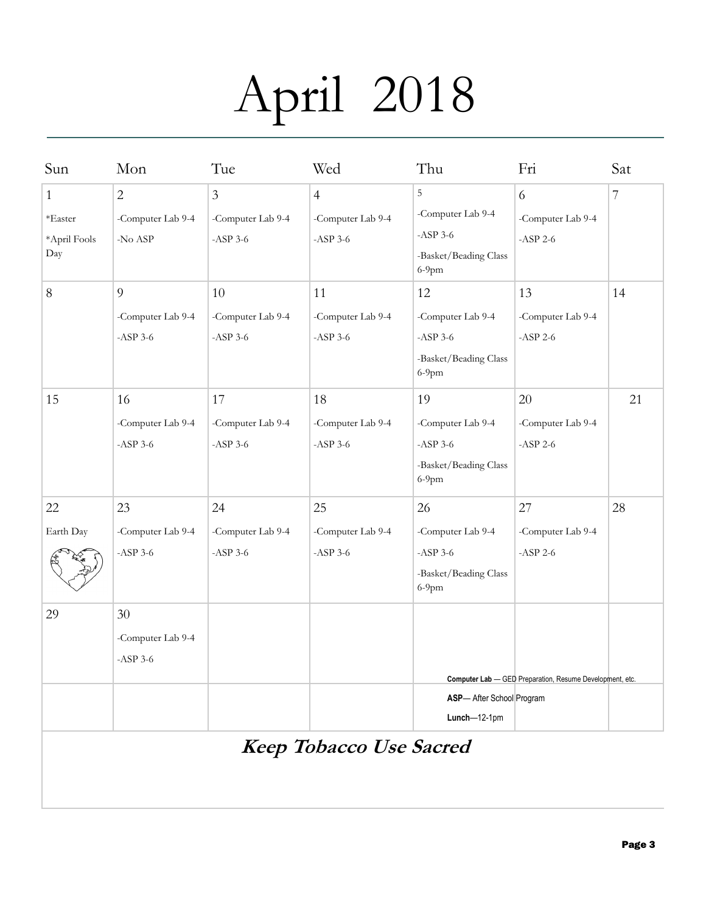# April 2018

| Sun          | Mon                | Tue               | Wed                     | Thu                                                      | Fri               | Sat            |
|--------------|--------------------|-------------------|-------------------------|----------------------------------------------------------|-------------------|----------------|
| $\mathbf{1}$ | $\overline{2}$     | $\overline{3}$    | $\overline{4}$          | 5                                                        | 6                 | $\overline{7}$ |
| *Easter      | -Computer Lab 9-4  | -Computer Lab 9-4 | -Computer Lab 9-4       | -Computer Lab 9-4                                        | -Computer Lab 9-4 |                |
| *April Fools | -No $\mathbf{ASP}$ | -ASP 3-6          | -ASP 3-6                | -ASP 3-6                                                 | -ASP 2-6          |                |
| Day          |                    |                   |                         | -Basket/Beading Class<br>$6-9$ pm                        |                   |                |
| 8            | 9                  | 10                | 11                      | 12                                                       | 13                | 14             |
|              | -Computer Lab 9-4  | -Computer Lab 9-4 | -Computer Lab 9-4       | -Computer Lab 9-4                                        | -Computer Lab 9-4 |                |
|              | -ASP 3-6           | -ASP 3-6          | -ASP 3-6                | -ASP 3-6                                                 | -ASP 2-6          |                |
|              |                    |                   |                         | -Basket/Beading Class<br>$6-9$ pm                        |                   |                |
| 15           | 16                 | 17                | 18                      | 19                                                       | 20                | 21             |
|              | -Computer Lab 9-4  | -Computer Lab 9-4 | -Computer Lab 9-4       | -Computer Lab 9-4                                        | -Computer Lab 9-4 |                |
|              | -ASP 3-6           | -ASP 3-6          | -ASP 3-6                | $-ASP$ 3-6                                               | -ASP 2-6          |                |
|              |                    |                   |                         | -Basket/Beading Class<br>$6-9$ pm                        |                   |                |
| 22           | 23                 | 24                | 25                      | 26                                                       | 27                | 28             |
| Earth Day    | -Computer Lab 9-4  | -Computer Lab 9-4 | -Computer Lab 9-4       | -Computer Lab 9-4                                        | -Computer Lab 9-4 |                |
|              | -ASP 3-6           | -ASP 3-6          | -ASP 3-6                | -ASP 3-6                                                 | -ASP 2-6          |                |
|              |                    |                   |                         | -Basket/Beading Class<br>$6-9$ pm                        |                   |                |
| 29           | 30                 |                   |                         |                                                          |                   |                |
|              | -Computer Lab 9-4  |                   |                         |                                                          |                   |                |
|              | $-ASP$ 3-6         |                   |                         |                                                          |                   |                |
|              |                    |                   |                         | Computer Lab - GED Preparation, Resume Development, etc. |                   |                |
|              |                    |                   |                         | ASP- After School Program                                |                   |                |
|              |                    |                   |                         | Lunch-12-1pm                                             |                   |                |
|              |                    |                   | Keep Tobacco Use Sacred |                                                          |                   |                |